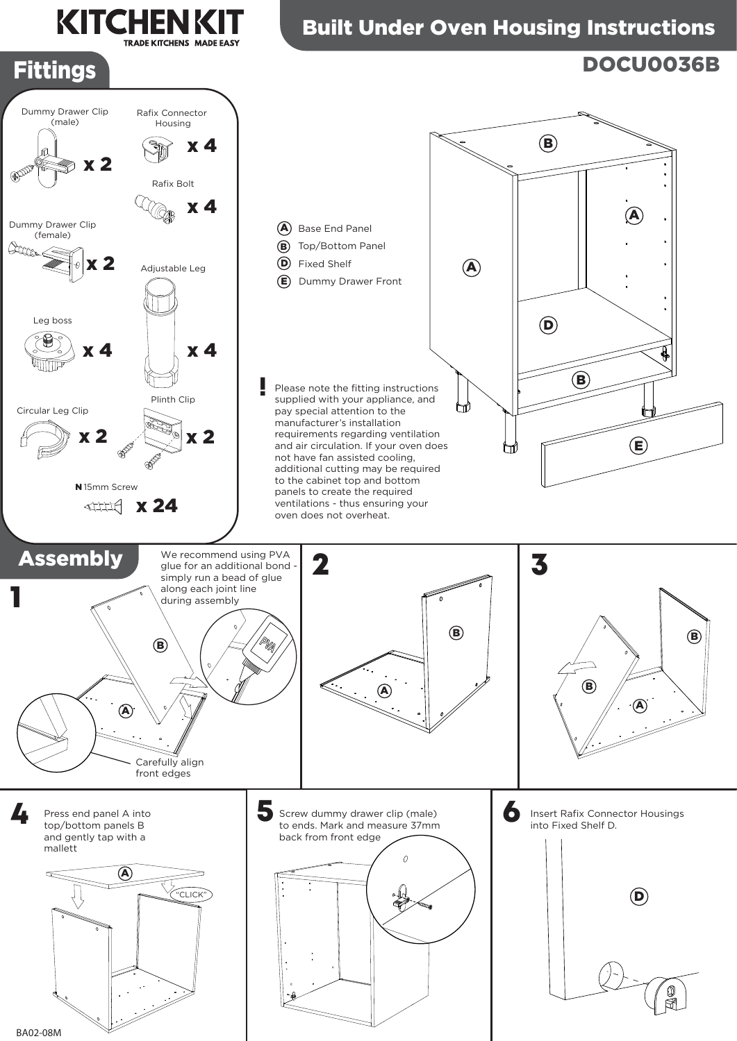## KITCHENK **TRADE KITCHENS MADE EASY**

## **Built Under Oven Housing Instructions**





Press end panel A into top/bottom panels B and gently tap with a mallett



## DOCU0036B

Insert Rafix Connector Housings into Fixed Shelf D.

 $\bigcirc$